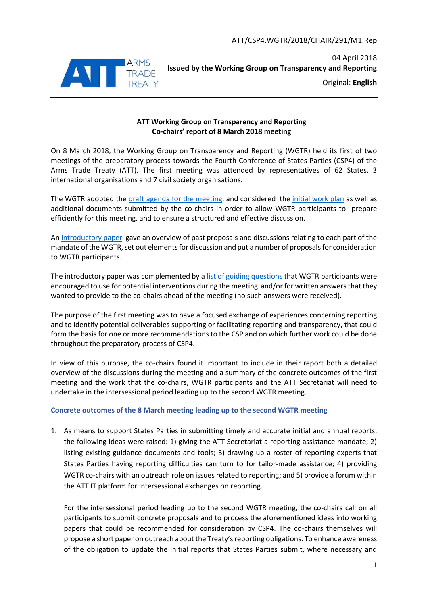

04 April 2018 **Issued by the Working Group on Transparency and Reporting** Original: **English**

### **ATT Working Group on Transparency and Reporting Co-chairs' report of 8 March 2018 meeting**

On 8 March 2018, the Working Group on Transparency and Reporting (WGTR) held its first of two meetings of the preparatory process towards the Fourth Conference of States Parties (CSP4) of the Arms Trade Treaty (ATT). The first meeting was attended by representatives of 62 States, 3 international organisations and 7 civil society organisations.

The WGTR adopted the [draft agenda for the](http://thearmstradetreaty.org/images/CSP4/CSP4_preparatory_process/March_WG__Prep_Meetings/ATT_WGTR_CSP4_Draft_agenda_meeting_8_March_2018.pdf) meeting, and considered the [initial work plan](http://thearmstradetreaty.org/images/CSP4/CSP4_preparatory_process/March_WG__Prep_Meetings/ATT_WGTR_CSP4_Initial_work_plan.pdf) as well as additional documents submitted by the co-chairs in order to allow WGTR participants to prepare efficiently for this meeting, and to ensure a structured and effective discussion.

An [introductory paper](http://thearmstradetreaty.org/images/CSP4/CSP4_preparatory_process/March_WG__Prep_Meetings/ATT_WGTR_CSP4_Introductory_paper.pdf) gave an overview of past proposals and discussions relating to each part of the mandate of the WGTR, set out elements for discussion and put a number of proposals for consideration to WGTR participants.

The introductory paper was complemented by a [list of guiding questions](http://thearmstradetreaty.org/images/CSP4/CSP4_preparatory_process/March_WG__Prep_Meetings/ATT_WGTR_CSP4_Guiding_Questions.pdf) that WGTR participants were encouraged to use for potential interventions during the meeting and/or for written answers that they wanted to provide to the co-chairs ahead of the meeting (no such answers were received).

The purpose of the first meeting was to have a focused exchange of experiences concerning reporting and to identify potential deliverables supporting or facilitating reporting and transparency, that could form the basis for one or more recommendations to the CSP and on which further work could be done throughout the preparatory process of CSP4.

In view of this purpose, the co-chairs found it important to include in their report both a detailed overview of the discussions during the meeting and a summary of the concrete outcomes of the first meeting and the work that the co-chairs, WGTR participants and the ATT Secretariat will need to undertake in the intersessional period leading up to the second WGTR meeting.

## **Concrete outcomes of the 8 March meeting leading up to the second WGTR meeting**

1. As means to support States Parties in submitting timely and accurate initial and annual reports, the following ideas were raised: 1) giving the ATT Secretariat a reporting assistance mandate; 2) listing existing guidance documents and tools; 3) drawing up a roster of reporting experts that States Parties having reporting difficulties can turn to for tailor-made assistance; 4) providing WGTR co-chairs with an outreach role on issues related to reporting; and 5) provide a forum within the ATT IT platform for intersessional exchanges on reporting.

For the intersessional period leading up to the second WGTR meeting, the co-chairs call on all participants to submit concrete proposals and to process the aforementioned ideas into working papers that could be recommended for consideration by CSP4. The co-chairs themselves will propose a short paper on outreach about the Treaty's reporting obligations. To enhance awareness of the obligation to update the initial reports that States Parties submit, where necessary and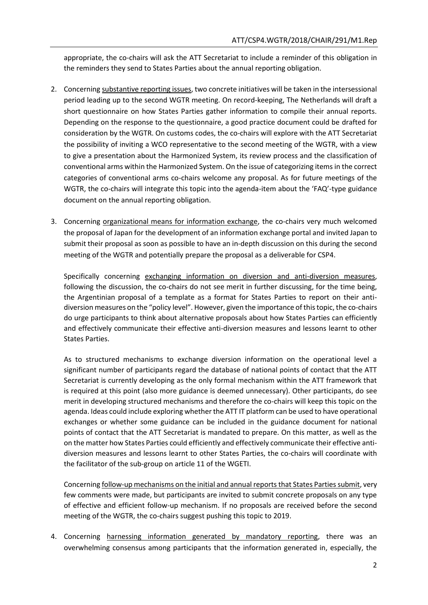appropriate, the co-chairs will ask the ATT Secretariat to include a reminder of this obligation in the reminders they send to States Parties about the annual reporting obligation.

- 2. Concerning substantive reporting issues, two concrete initiatives will be taken in the intersessional period leading up to the second WGTR meeting. On record-keeping, The Netherlands will draft a short questionnaire on how States Parties gather information to compile their annual reports. Depending on the response to the questionnaire, a good practice document could be drafted for consideration by the WGTR. On customs codes, the co-chairs will explore with the ATT Secretariat the possibility of inviting a WCO representative to the second meeting of the WGTR, with a view to give a presentation about the Harmonized System, its review process and the classification of conventional arms within the Harmonized System. On the issue of categorizing items in the correct categories of conventional arms co-chairs welcome any proposal. As for future meetings of the WGTR, the co-chairs will integrate this topic into the agenda-item about the 'FAQ'-type guidance document on the annual reporting obligation.
- 3. Concerning organizational means for information exchange, the co-chairs very much welcomed the proposal of Japan for the development of an information exchange portal and invited Japan to submit their proposal as soon as possible to have an in-depth discussion on this during the second meeting of the WGTR and potentially prepare the proposal as a deliverable for CSP4.

Specifically concerning exchanging information on diversion and anti-diversion measures, following the discussion, the co-chairs do not see merit in further discussing, for the time being, the Argentinian proposal of a template as a format for States Parties to report on their antidiversion measures on the "policy level". However, given the importance of this topic, the co-chairs do urge participants to think about alternative proposals about how States Parties can efficiently and effectively communicate their effective anti-diversion measures and lessons learnt to other States Parties.

As to structured mechanisms to exchange diversion information on the operational level a significant number of participants regard the database of national points of contact that the ATT Secretariat is currently developing as the only formal mechanism within the ATT framework that is required at this point (also more guidance is deemed unnecessary). Other participants, do see merit in developing structured mechanisms and therefore the co-chairs will keep this topic on the agenda. Ideas could include exploring whether the ATT IT platform can be used to have operational exchanges or whether some guidance can be included in the guidance document for national points of contact that the ATT Secretariat is mandated to prepare. On this matter, as well as the on the matter how States Parties could efficiently and effectively communicate their effective antidiversion measures and lessons learnt to other States Parties, the co-chairs will coordinate with the facilitator of the sub-group on article 11 of the WGETI.

Concerning follow-up mechanisms on the initial and annual reports that States Parties submit, very few comments were made, but participants are invited to submit concrete proposals on any type of effective and efficient follow-up mechanism. If no proposals are received before the second meeting of the WGTR, the co-chairs suggest pushing this topic to 2019.

4. Concerning harnessing information generated by mandatory reporting, there was an overwhelming consensus among participants that the information generated in, especially, the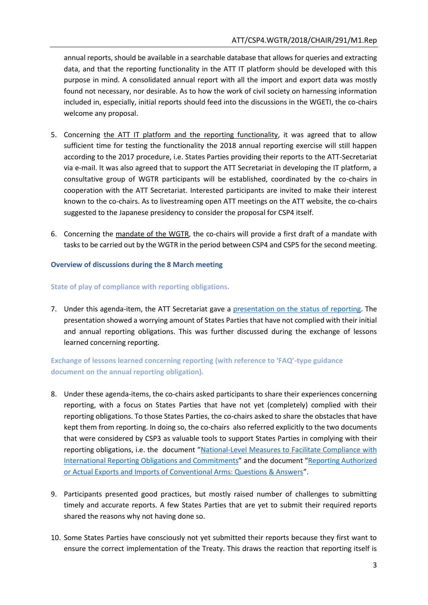annual reports, should be available in a searchable database that allows for queries and extracting data, and that the reporting functionality in the ATT IT platform should be developed with this purpose in mind. A consolidated annual report with all the import and export data was mostly found not necessary, nor desirable. As to how the work of civil society on harnessing information included in, especially, initial reports should feed into the discussions in the WGETI, the co-chairs welcome any proposal.

- 5. Concerning the ATT IT platform and the reporting functionality, it was agreed that to allow sufficient time for testing the functionality the 2018 annual reporting exercise will still happen according to the 2017 procedure, i.e. States Parties providing their reports to the ATT-Secretariat via e-mail. It was also agreed that to support the ATT Secretariat in developing the IT platform, a consultative group of WGTR participants will be established, coordinated by the co-chairs in cooperation with the ATT Secretariat. Interested participants are invited to make their interest known to the co-chairs. As to livestreaming open ATT meetings on the ATT website, the co-chairs suggested to the Japanese presidency to consider the proposal for CSP4 itself.
- 6. Concerning the mandate of the WGTR, the co-chairs will provide a first draft of a mandate with tasks to be carried out by the WGTR in the period between CSP4 and CSP5 for the second meeting.

## **Overview of discussions during the 8 March meeting**

## **State of play of compliance with reporting obligations.**

7. Under this agenda-item, the ATT Secretariat gave a [presentation on the status of](http://thearmstradetreaty.org/images/CSP4/CSP4_preparatory_process/March_WG__Prep_Meetings/180308_-_ATT_Secretariat_-_Status_of_Reporting.pdf) reporting. The presentation showed a worrying amount of States Parties that have not complied with their initial and annual reporting obligations. This was further discussed during the exchange of lessons learned concerning reporting.

# **Exchange of lessons learned concerning reporting (with reference to 'FAQ'-type guidance document on the annual reporting obligation).**

- 8. Under these agenda-items, the co-chairs asked participants to share their experiences concerning reporting, with a focus on States Parties that have not yet (completely) complied with their reporting obligations. To those States Parties, the co-chairs asked to share the obstacles that have kept them from reporting. In doing so, the co-chairs also referred explicitly to the two documents that were considered by CSP3 as valuable tools to support States Parties in complying with their reporting obligations, i.e. the document "[National-Level Measures to Facilitate Compliance with](http://thearmstradetreaty.org/images/CSP3_Documents/Conference_Documents/WGTR_Draft_Report_to_CSP3_EN.pdf)  [International Reporting Obligations and Commitments](http://thearmstradetreaty.org/images/CSP3_Documents/Conference_Documents/WGTR_Draft_Report_to_CSP3_EN.pdf)" and the document "[Reporting Authorized](http://www.thearmstradetreaty.org/images/Annual_Reports_2016/Guidance/Reporting_Authorized_or_Actual_Exports_and_Imports_of_Conventional_Arms_under_the_ATT_EN_-_for_website.pdf)  [or Actual Exports and Imports of Conventional Arms: Questions & Answers](http://www.thearmstradetreaty.org/images/Annual_Reports_2016/Guidance/Reporting_Authorized_or_Actual_Exports_and_Imports_of_Conventional_Arms_under_the_ATT_EN_-_for_website.pdf)".
- 9. Participants presented good practices, but mostly raised number of challenges to submitting timely and accurate reports. A few States Parties that are yet to submit their required reports shared the reasons why not having done so.
- 10. Some States Parties have consciously not yet submitted their reports because they first want to ensure the correct implementation of the Treaty. This draws the reaction that reporting itself is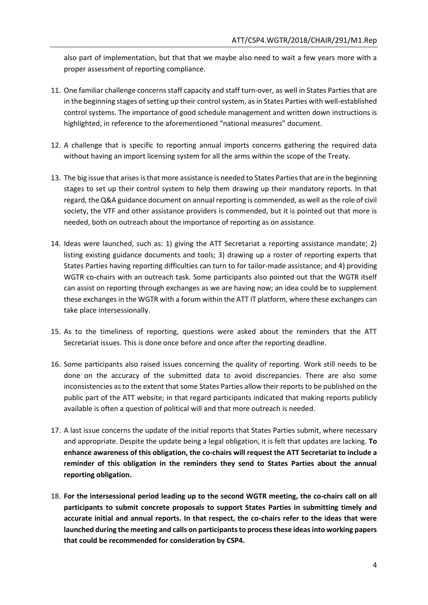also part of implementation, but that that we maybe also need to wait a few years more with a proper assessment of reporting compliance.

- 11. One familiar challenge concerns staff capacity and staff turn-over, as well in States Parties that are in the beginning stages of setting up their control system, as in States Parties with well-established control systems. The importance of good schedule management and written down instructions is highlighted, in reference to the aforementioned "national measures" document.
- 12. A challenge that is specific to reporting annual imports concerns gathering the required data without having an import licensing system for all the arms within the scope of the Treaty.
- 13. The big issue that arises is that more assistance is needed to States Parties that are in the beginning stages to set up their control system to help them drawing up their mandatory reports. In that regard, the Q&A guidance document on annual reporting is commended, as well as the role of civil society, the VTF and other assistance providers is commended, but it is pointed out that more is needed, both on outreach about the importance of reporting as on assistance.
- 14. Ideas were launched, such as: 1) giving the ATT Secretariat a reporting assistance mandate; 2) listing existing guidance documents and tools; 3) drawing up a roster of reporting experts that States Parties having reporting difficulties can turn to for tailor-made assistance; and 4) providing WGTR co-chairs with an outreach task. Some participants also pointed out that the WGTR itself can assist on reporting through exchanges as we are having now; an idea could be to supplement these exchanges in the WGTR with a forum within the ATT IT platform, where these exchanges can take place intersessionally.
- 15. As to the timeliness of reporting, questions were asked about the reminders that the ATT Secretariat issues. This is done once before and once after the reporting deadline.
- 16. Some participants also raised issues concerning the quality of reporting. Work still needs to be done on the accuracy of the submitted data to avoid discrepancies. There are also some inconsistencies as to the extent that some States Parties allow their reports to be published on the public part of the ATT website; in that regard participants indicated that making reports publicly available is often a question of political will and that more outreach is needed.
- 17. A last issue concerns the update of the initial reports that States Parties submit, where necessary and appropriate. Despite the update being a legal obligation, it is felt that updates are lacking. **To enhance awareness of this obligation, the co-chairs will request the ATT Secretariat to include a reminder of this obligation in the reminders they send to States Parties about the annual reporting obligation.**
- 18. **For the intersessional period leading up to the second WGTR meeting, the co-chairs call on all participants to submit concrete proposals to support States Parties in submitting timely and accurate initial and annual reports. In that respect, the co-chairs refer to the ideas that were launched during the meeting and calls on participants to process these ideas into working papers that could be recommended for consideration by CSP4.**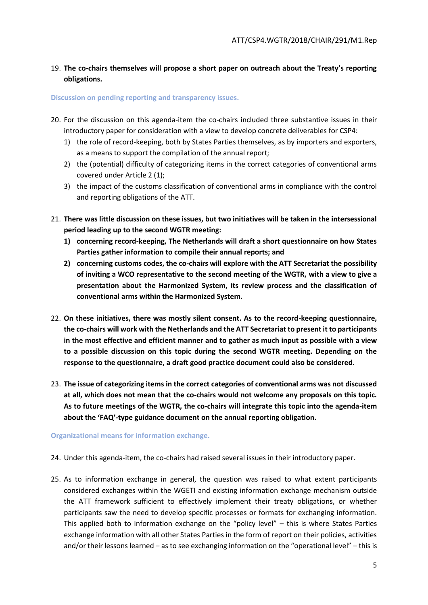## 19. **The co-chairs themselves will propose a short paper on outreach about the Treaty's reporting obligations.**

#### **Discussion on pending reporting and transparency issues.**

- 20. For the discussion on this agenda-item the co-chairs included three substantive issues in their introductory paper for consideration with a view to develop concrete deliverables for CSP4:
	- 1) the role of record-keeping, both by States Parties themselves, as by importers and exporters, as a means to support the compilation of the annual report;
	- 2) the (potential) difficulty of categorizing items in the correct categories of conventional arms covered under Article 2 (1);
	- 3) the impact of the customs classification of conventional arms in compliance with the control and reporting obligations of the ATT.
- 21. **There was little discussion on these issues, but two initiatives will be taken in the intersessional period leading up to the second WGTR meeting:**
	- **1) concerning record-keeping, The Netherlands will draft a short questionnaire on how States Parties gather information to compile their annual reports; and**
	- **2) concerning customs codes, the co-chairs will explore with the ATT Secretariat the possibility of inviting a WCO representative to the second meeting of the WGTR, with a view to give a presentation about the Harmonized System, its review process and the classification of conventional arms within the Harmonized System.**
- 22. **On these initiatives, there was mostly silent consent. As to the record-keeping questionnaire, the co-chairs will work with the Netherlands and the ATT Secretariat to present it to participants in the most effective and efficient manner and to gather as much input as possible with a view to a possible discussion on this topic during the second WGTR meeting. Depending on the response to the questionnaire, a draft good practice document could also be considered.**
- 23. **The issue of categorizing items in the correct categories of conventional arms was not discussed at all, which does not mean that the co-chairs would not welcome any proposals on this topic. As to future meetings of the WGTR, the co-chairs will integrate this topic into the agenda-item about the 'FAQ'-type guidance document on the annual reporting obligation.**

#### **Organizational means for information exchange.**

- 24. Under this agenda-item, the co-chairs had raised several issues in their introductory paper.
- 25. As to information exchange in general, the question was raised to what extent participants considered exchanges within the WGETI and existing information exchange mechanism outside the ATT framework sufficient to effectively implement their treaty obligations, or whether participants saw the need to develop specific processes or formats for exchanging information. This applied both to information exchange on the "policy level" – this is where States Parties exchange information with all other States Parties in the form of report on their policies, activities and/or their lessons learned – as to see exchanging information on the "operational level" – this is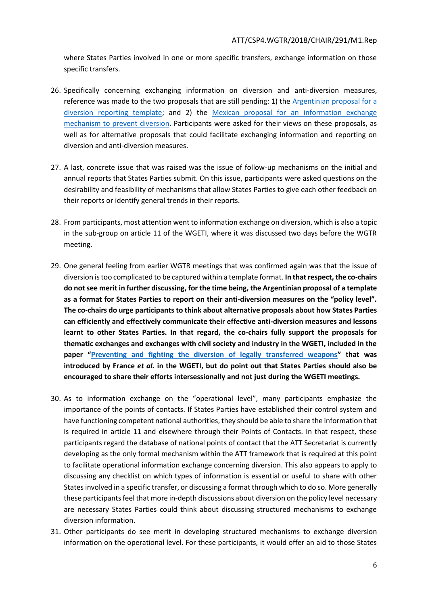where States Parties involved in one or more specific transfers, exchange information on those specific transfers.

- 26. Specifically concerning exchanging information on diversion and anti-diversion measures, reference was made to the two proposals that are still pending: 1) the Argentinian proposal for a [diversion reporting template;](http://www.thearmstradetreaty.org/images/ATT_CSP1_2015_PM.2_WP.4_Rev.1.pdf) and 2) the [Mexican proposal for an information exchange](http://www.thearmstradetreaty.org/images/CSP3_Documents/WG_documents/WGTR_-_Mexico_proposal_-_Information_exchange_mechanism_to_prevent_diversion_of_conventional_arms_to_the_illicit_market.pdf)  [mechanism to prevent diversion.](http://www.thearmstradetreaty.org/images/CSP3_Documents/WG_documents/WGTR_-_Mexico_proposal_-_Information_exchange_mechanism_to_prevent_diversion_of_conventional_arms_to_the_illicit_market.pdf) Participants were asked for their views on these proposals, as well as for alternative proposals that could facilitate exchanging information and reporting on diversion and anti-diversion measures.
- 27. A last, concrete issue that was raised was the issue of follow-up mechanisms on the initial and annual reports that States Parties submit. On this issue, participants were asked questions on the desirability and feasibility of mechanisms that allow States Parties to give each other feedback on their reports or identify general trends in their reports.
- 28. From participants, most attention went to information exchange on diversion, which is also a topic in the sub-group on article 11 of the WGETI, where it was discussed two days before the WGTR meeting.
- 29. One general feeling from earlier WGTR meetings that was confirmed again was that the issue of diversion is too complicated to be captured within a template format. **In that respect, the co-chairs do not see merit in further discussing, for the time being, the Argentinian proposal of a template as a format for States Parties to report on their anti-diversion measures on the "policy level". The co-chairs do urge participants to think about alternative proposals about how States Parties can efficiently and effectively communicate their effective anti-diversion measures and lessons learnt to other States Parties. In that regard, the co-chairs fully support the proposals for thematic exchanges and exchanges with civil society and industry in the WGETI, included in the paper "[Preventing and fighting the diversion of legally transferred weapons](http://thearmstradetreaty.org/images/CSP4/CSP4_preparatory_process/March_WG__Prep_Meetings/ATT_WGETI_CSP4_WP_Diversion_France_et_al.pdf)" that was introduced by France** *et al.* **in the WGETI, but do point out that States Parties should also be encouraged to share their efforts intersessionally and not just during the WGETI meetings.**
- 30. As to information exchange on the "operational level", many participants emphasize the importance of the points of contacts. If States Parties have established their control system and have functioning competent national authorities, they should be able to share the information that is required in article 11 and elsewhere through their Points of Contacts. In that respect, these participants regard the database of national points of contact that the ATT Secretariat is currently developing as the only formal mechanism within the ATT framework that is required at this point to facilitate operational information exchange concerning diversion. This also appears to apply to discussing any checklist on which types of information is essential or useful to share with other States involved in a specific transfer, or discussing a format through which to do so. More generally these participants feel that more in-depth discussions about diversion on the policy level necessary are necessary States Parties could think about discussing structured mechanisms to exchange diversion information.
- 31. Other participants do see merit in developing structured mechanisms to exchange diversion information on the operational level. For these participants, it would offer an aid to those States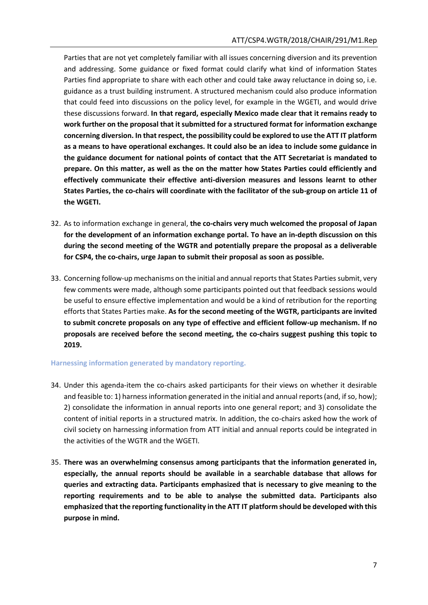Parties that are not yet completely familiar with all issues concerning diversion and its prevention and addressing. Some guidance or fixed format could clarify what kind of information States Parties find appropriate to share with each other and could take away reluctance in doing so, i.e. guidance as a trust building instrument. A structured mechanism could also produce information that could feed into discussions on the policy level, for example in the WGETI, and would drive these discussions forward. **In that regard, especially Mexico made clear that it remains ready to work further on the proposal that it submitted for a structured format for information exchange concerning diversion. In that respect, the possibility could be explored to use the ATT IT platform as a means to have operational exchanges. It could also be an idea to include some guidance in the guidance document for national points of contact that the ATT Secretariat is mandated to prepare. On this matter, as well as the on the matter how States Parties could efficiently and effectively communicate their effective anti-diversion measures and lessons learnt to other States Parties, the co-chairs will coordinate with the facilitator of the sub-group on article 11 of the WGETI.**

- 32. As to information exchange in general, **the co-chairs very much welcomed the proposal of Japan for the development of an information exchange portal. To have an in-depth discussion on this during the second meeting of the WGTR and potentially prepare the proposal as a deliverable for CSP4, the co-chairs, urge Japan to submit their proposal as soon as possible.**
- 33. Concerning follow-up mechanisms on the initial and annual reports that States Parties submit, very few comments were made, although some participants pointed out that feedback sessions would be useful to ensure effective implementation and would be a kind of retribution for the reporting efforts that States Parties make. **As for the second meeting of the WGTR, participants are invited to submit concrete proposals on any type of effective and efficient follow-up mechanism. If no proposals are received before the second meeting, the co-chairs suggest pushing this topic to 2019.**

## **Harnessing information generated by mandatory reporting.**

- 34. Under this agenda-item the co-chairs asked participants for their views on whether it desirable and feasible to: 1) harness information generated in the initial and annual reports (and, if so, how); 2) consolidate the information in annual reports into one general report; and 3) consolidate the content of initial reports in a structured matrix. In addition, the co-chairs asked how the work of civil society on harnessing information from ATT initial and annual reports could be integrated in the activities of the WGTR and the WGETI.
- 35. **There was an overwhelming consensus among participants that the information generated in, especially, the annual reports should be available in a searchable database that allows for queries and extracting data. Participants emphasized that is necessary to give meaning to the reporting requirements and to be able to analyse the submitted data. Participants also emphasized that the reporting functionality in the ATT IT platform should be developed with this purpose in mind.**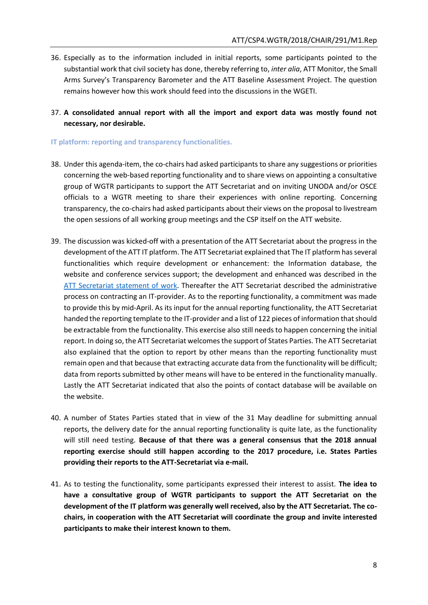- 36. Especially as to the information included in initial reports, some participants pointed to the substantial work that civil society has done, thereby referring to, *inter alia*, ATT Monitor, the Small Arms Survey's Transparency Barometer and the ATT Baseline Assessment Project. The question remains however how this work should feed into the discussions in the WGETI.
- 37. **A consolidated annual report with all the import and export data was mostly found not necessary, nor desirable.**

**IT platform: reporting and transparency functionalities.**

- 38. Under this agenda-item, the co-chairs had asked participants to share any suggestions or priorities concerning the web-based reporting functionality and to share views on appointing a consultative group of WGTR participants to support the ATT Secretariat and on inviting UNODA and/or OSCE officials to a WGTR meeting to share their experiences with online reporting. Concerning transparency, the co-chairs had asked participants about their views on the proposal to livestream the open sessions of all working group meetings and the CSP itself on the ATT website.
- 39. The discussion was kicked-off with a presentation of the ATT Secretariat about the progress in the development of the ATT IT platform. The ATT Secretariat explained that The IT platform has several functionalities which require development or enhancement: the Information database, the website and conference services support; the development and enhanced was described in the [ATT Secretariat statement of work.](http://www.thearmstradetreaty.org/images/CSP3_Documents/ATT_Secretariat_-_Website_Statement_of_Work_31_March_2017.pdf) Thereafter the ATT Secretariat described the administrative process on contracting an IT-provider. As to the reporting functionality, a commitment was made to provide this by mid-April. As its input for the annual reporting functionality, the ATT Secretariat handed the reporting template to the IT-provider and a list of 122 pieces of information that should be extractable from the functionality. This exercise also still needs to happen concerning the initial report. In doing so, the ATT Secretariat welcomes the support of States Parties. The ATT Secretariat also explained that the option to report by other means than the reporting functionality must remain open and that because that extracting accurate data from the functionality will be difficult; data from reports submitted by other means will have to be entered in the functionality manually. Lastly the ATT Secretariat indicated that also the points of contact database will be available on the website.
- 40. A number of States Parties stated that in view of the 31 May deadline for submitting annual reports, the delivery date for the annual reporting functionality is quite late, as the functionality will still need testing. **Because of that there was a general consensus that the 2018 annual reporting exercise should still happen according to the 2017 procedure, i.e. States Parties providing their reports to the ATT-Secretariat via e-mail.**
- 41. As to testing the functionality, some participants expressed their interest to assist. **The idea to have a consultative group of WGTR participants to support the ATT Secretariat on the development of the IT platform was generally well received, also by the ATT Secretariat. The cochairs, in cooperation with the ATT Secretariat will coordinate the group and invite interested participants to make their interest known to them.**